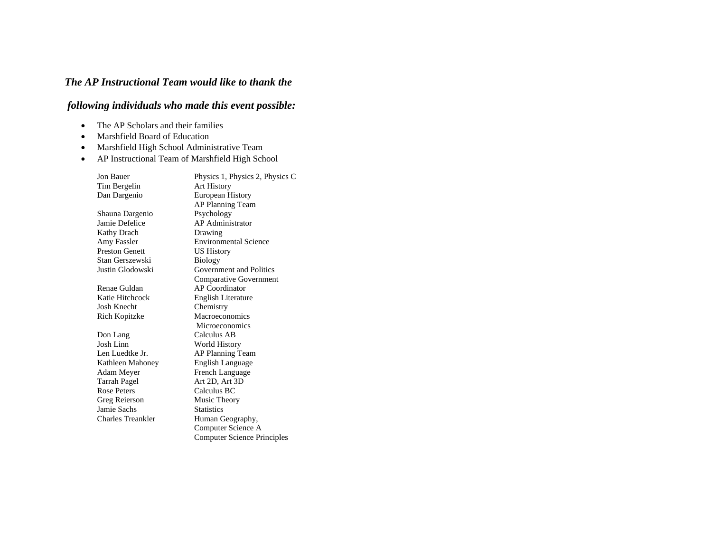## *The AP Instructional Team would like to thank the*

## *following individuals who made this event possible:*

- The AP Scholars and their families
- Marshfield Board of Education
- Marshfield High School Administrative Team
- AP Instructional Team of Marshfield High School

| Jon Bauer                | Physics 1, Physics 2, Physics C    |
|--------------------------|------------------------------------|
| Tim Bergelin             | <b>Art History</b>                 |
| Dan Dargenio             | <b>European History</b>            |
|                          | AP Planning Team                   |
| Shauna Dargenio          | Psychology                         |
| Jamie Defelice           | <b>AP</b> Administrator            |
| Kathy Drach              | Drawing                            |
| Amy Fassler              | <b>Environmental Science</b>       |
| <b>Preston Genett</b>    | <b>US History</b>                  |
| Stan Gerszewski          | <b>Biology</b>                     |
| Justin Glodowski         | Government and Politics            |
|                          | <b>Comparative Government</b>      |
| Renae Guldan             | <b>AP</b> Coordinator              |
| Katie Hitchcock          | English Literature                 |
| Josh Knecht              | Chemistry                          |
| Rich Kopitzke            | Macroeconomics                     |
|                          | Microeconomics                     |
| Don Lang                 | Calculus AB                        |
| <b>Josh Linn</b>         | World History                      |
| Len Luedtke Jr.          | AP Planning Team                   |
| Kathleen Mahoney         | <b>English Language</b>            |
| Adam Meyer               | French Language                    |
| Tarrah Pagel             | Art 2D, Art 3D                     |
| <b>Rose Peters</b>       | Calculus BC                        |
| Greg Reierson            | Music Theory                       |
| Jamie Sachs              | <b>Statistics</b>                  |
| <b>Charles Treankler</b> | Human Geography,                   |
|                          | Computer Science A                 |
|                          | <b>Computer Science Principles</b> |
|                          |                                    |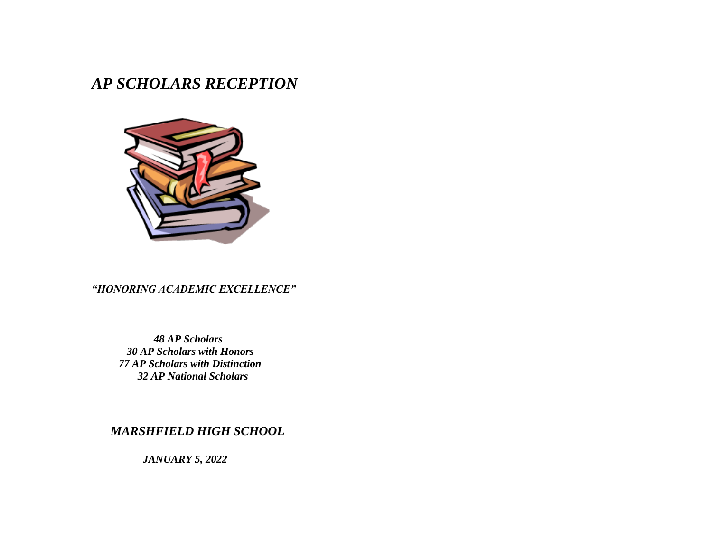# *AP SCHOLARS RECEPTION*



## *"HONORING ACADEMIC EXCELLENCE"*

 *AP Scholars AP Scholars with Honors AP Scholars with Distinction AP National Scholars*

 *MARSHFIELD HIGH SCHOOL*

 *JANUARY 5, 2022*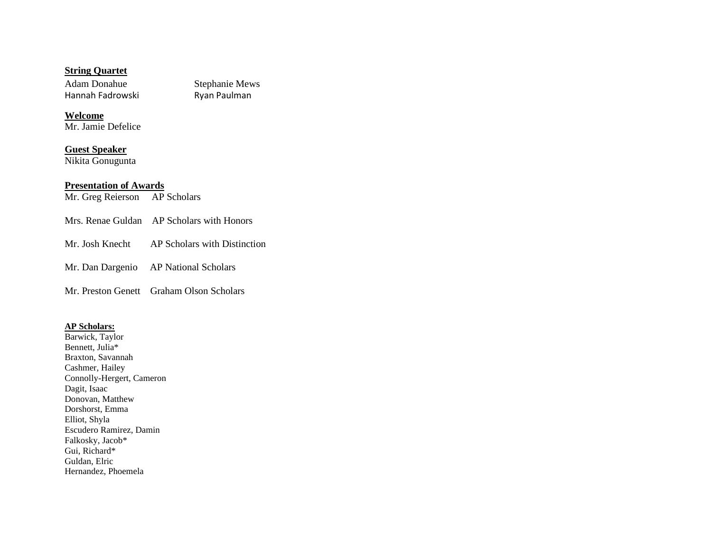#### **String Quartet**

Adam Donahue Stephanie Mews<br>
Hannah Fadrowski Ryan Paulman Hannah Fadrowski

#### **Welcome** Mr. Jamie Defelice

**Guest Speaker** Nikita Gonugunta

## **Presentation of Awards**

Mr. Greg Reierson AP Scholars

- Mrs. Renae Guldan AP Scholars with Honors
- Mr. Josh Knecht AP Scholars with Distinction
- Mr. Dan Dargenio AP National Scholars

Mr. Preston Genett Graham Olson Scholars

#### **AP Scholars:**

Barwick, Taylor Bennett, Julia\* Braxton, Savannah Cashmer, Hailey Connolly-Hergert, Cameron Dagit, Isaac Donovan, Matthew Dorshorst, Emma Elliot, Shyla Escudero Ramirez, Damin Falkosky, Jacob\* Gui, Richard\* Guldan, Elric Hernandez, Phoemela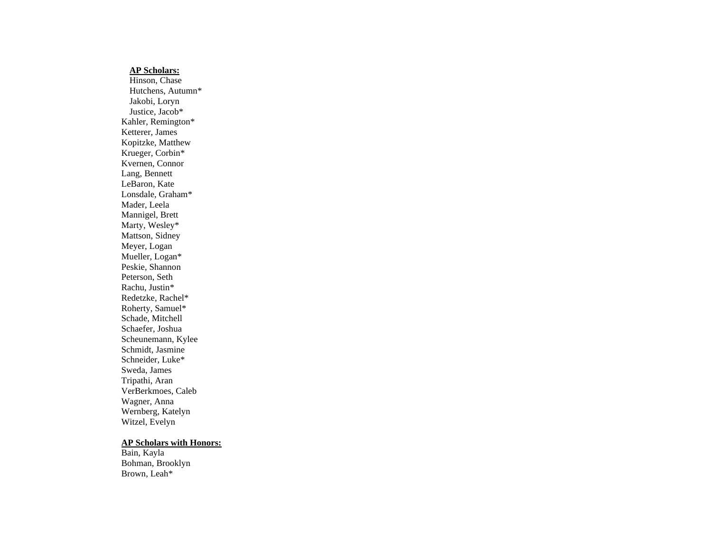#### **AP Scholars:**

Hinson, Chase Hutchens, Autumn\* Jakobi, Loryn Justice, Jacob\* Kahler, Remington\* Ketterer, James Kopitzke, Matthew Krueger, Corbin\* Kvernen, Connor Lang, Bennett LeBaron, Kate Lonsdale, Graham\* Mader, Leela Mannigel, Brett Marty, Wesley\* Mattson, Sidney Meyer, Logan Mueller, Logan\* Peskie, Shannon Peterson, Seth Rachu, Justin\* Redetzke, Rachel\* Roherty, Samuel\* Schade, Mitchell Schaefer, Joshua Scheunemann, Kylee Schmidt, Jasmine Schneider, Luke\* Sweda, James Tripathi, Aran VerBerkmoes, Caleb Wagner, Anna Wernberg, Katelyn Witzel, Evelyn

## **AP Scholars with Honors:**

Bain, Kayla Bohman, Brooklyn Brown, Leah\*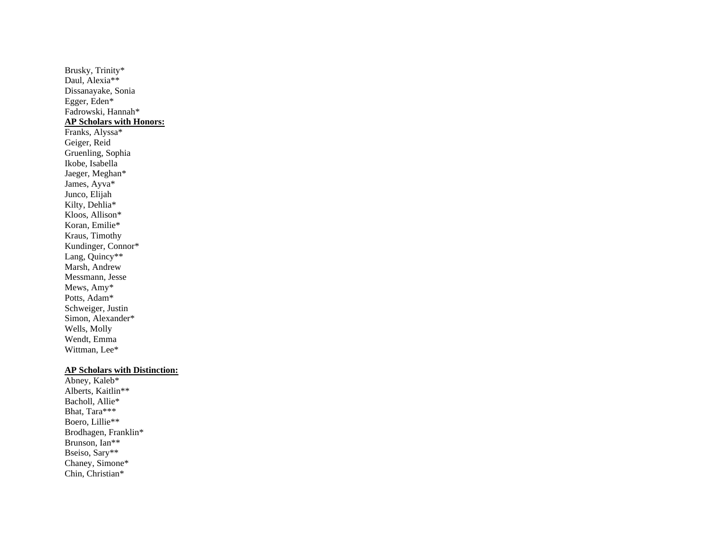Brusky, Trinity\* Daul, Alexia\*\* Dissanayake, Sonia Egger, Eden\* Fadrowski, Hannah\* **AP Scholars with Honors:** Franks, Alyssa\* Geiger, Reid Gruenling, Sophia Ikobe, Isabella Jaeger, Meghan\* James, Ayva\* Junco, Elijah Kilty, Dehlia\* Kloos, Allison\* Koran, Emilie\* Kraus, Timothy Kundinger, Connor\* Lang, Quincy\*\* Marsh, Andrew Messmann, Jesse Mews, Amy\* Potts, Adam\* Schweiger, Justin Simon, Alexander\* Wells, Molly Wendt, Emma Wittman, Lee\*

### **AP Scholars with Distinction:**

Abney, Kaleb\* Alberts, Kaitlin\*\* Bacholl, Allie\* Bhat, Tara\*\*\* Boero, Lillie\*\* Brodhagen, Franklin\* Brunson, Ian\*\* Bseiso, Sary\*\* Chaney, Simone\* Chin, Christian\*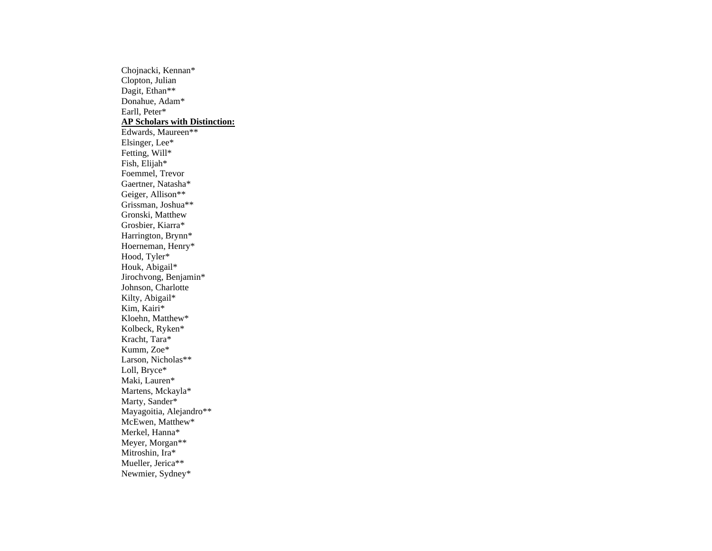Chojnacki, Kennan\* Clopton, Julian Dagit, Ethan\*\* Donahue, Adam\* Earll, Peter\* **AP Scholars with Distinction:** Edwards, Maureen\*\* Elsinger, Lee\* Fetting, Will\* Fish, Elijah\* Foemmel, Trevor Gaertner, Natasha\* Geiger, Allison\*\* Grissman, Joshua\*\* Gronski, Matthew Grosbier, Kiarra\* Harrington, Brynn\* Hoerneman, Henry\* Hood, Tyler\* Houk, Abigail\* Jirochvong, Benjamin\* Johnson, Charlotte Kilty, Abigail\* Kim, Kairi\* Kloehn, Matthew\* Kolbeck, Ryken\* Kracht, Tara\* Kumm, Zoe\* Larson, Nicholas\*\* Loll, Bryce\* Maki, Lauren\* Martens, Mckayla\* Marty, Sander\* Mayagoitia, Alejandro\*\* McEwen, Matthew\* Merkel, Hanna\* Meyer, Morgan\*\* Mitroshin, Ira\* Mueller, Jerica\*\* Newmier, Sydney\*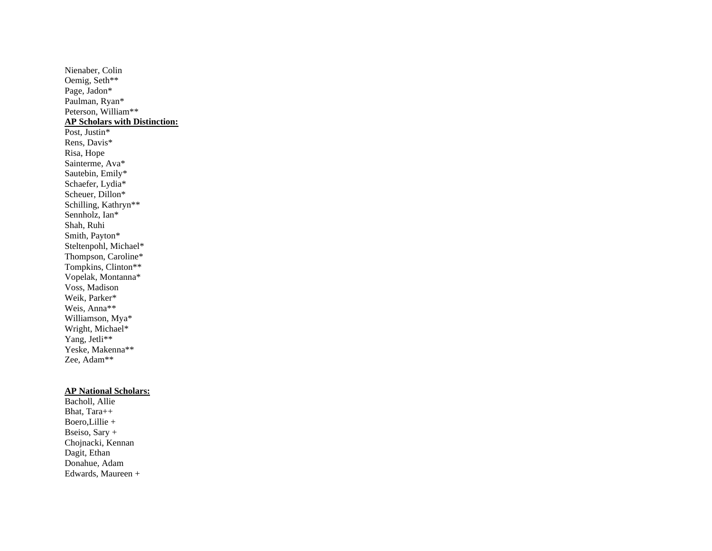Nienaber, Colin Oemig, Seth\*\* Page, Jadon\* Paulman, Ryan\* Peterson, William\*\* **AP Scholars with Distinction:** Post, Justin\* Rens, Davis\* Risa, Hope Sainterme, Ava\* Sautebin, Emily\* Schaefer, Lydia\* Scheuer, Dillon\* Schilling, Kathryn\*\* Sennholz, Ian\* Shah, Ruhi Smith, Payton\* Steltenpohl, Michael\* Thompson, Caroline\* Tompkins, Clinton\*\* Vopelak, Montanna\* Voss, Madison Weik, Parker\* Weis, Anna\*\* Williamson, Mya\* Wright, Michael\* Yang, Jetli\*\* Yeske, Makenna\*\* Zee, Adam\*\*

#### **AP National Scholars:**

Bacholl, Allie Bhat, Tara++ Boero,Lillie + Bseiso, Sary + Chojnacki, Kennan Dagit, Ethan Donahue, Adam Edwards, Maureen +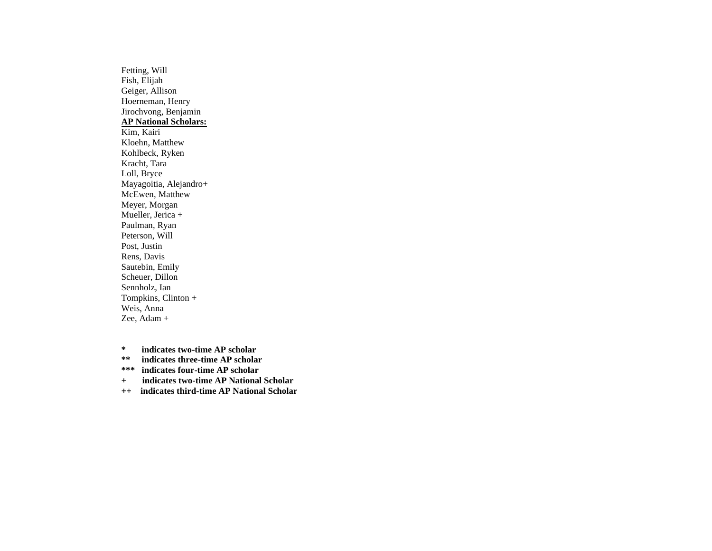Fetting, Will Fish, Elijah Geiger, Allison Hoerneman, Henry Jirochvong, Benjamin **AP National Scholars:** Kim, Kairi Kloehn, Matthew Kohlbeck, Ryken Kracht, Tara Loll, Bryce Mayagoitia, Alejandro+ McEwen, Matthew Meyer, Morgan Mueller, Jerica + Paulman, Ryan Peterson, Will Post, Justin Rens, Davis Sautebin, Emily Scheuer, Dillon Sennholz, Ian Tompkins, Clinton + Weis, Anna Zee, Adam +

**\* indicates two-time AP scholar**

**\*\* indicates three-time AP scholar**

**\*\*\* indicates four-time AP scholar**

**+ indicates two-time AP National Scholar**

**++ indicates third-time AP National Scholar**